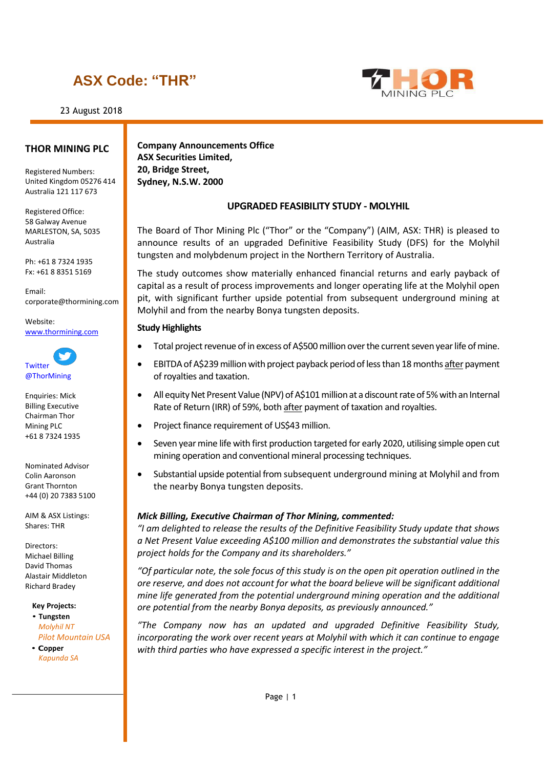# **ASX Code: "THR"**

23 August 2018



## **THOR MINING PLC**

Registered Numbers: United Kingdom 05276 414 Australia 121 117 673

Registered Office: 58 Galway Avenue MARLESTON, SA, 5035 Australia

Ph: +61 8 7324 1935 Fx: +61 8 8351 5169

Email: [corporate@thormining.com](mailto:corporate@thormining.com)

Website: [www.thormining.com](http://www.thormining.com/)



Enquiries: Mick Billing Executive Chairman Thor Mining PLC +61 8 7324 1935

Nominated Advisor Colin Aaronson Grant Thornton +44 (0) 20 7383 5100

AIM & ASX Listings: Shares: THR

Directors: Michael Billing David Thomas Alastair Middleton Richard Bradey

**Key Projects:**

• **Tungsten** *Molyhil NT Pilot Mountain USA*

• **Copper** *Kapunda SA*

**Company Announcements Office ASX Securities Limited, 20, Bridge Street, Sydney, N.S.W. 2000**

## **UPGRADED FEASIBILITY STUDY - MOLYHIL**

The Board of Thor Mining Plc ("Thor" or the "Company") (AIM, ASX: THR) is pleased to announce results of an upgraded Definitive Feasibility Study (DFS) for the Molyhil tungsten and molybdenum project in the Northern Territory of Australia.

The study outcomes show materially enhanced financial returns and early payback of capital as a result of process improvements and longer operating life at the Molyhil open pit, with significant further upside potential from subsequent underground mining at Molyhil and from the nearby Bonya tungsten deposits.

## **Study Highlights**

- Total project revenue of in excess of A\$500 million over the current seven year life of mine.
- EBITDA of A\$239 million with project payback period of less than 18 months after payment of royalties and taxation.
- All equity Net Present Value (NPV) of A\$101 million at a discount rate of 5% with an Internal Rate of Return (IRR) of 59%, both after payment of taxation and royalties.
- Project finance requirement of US\$43 million.
- Seven year mine life with first production targeted for early 2020, utilising simple open cut mining operation and conventional mineral processing techniques.
- Substantial upside potential from subsequent underground mining at Molyhil and from the nearby Bonya tungsten deposits.

## *Mick Billing, Executive Chairman of Thor Mining, commented:*

*"I am delighted to release the results of the Definitive Feasibility Study update that shows a Net Present Value exceeding A\$100 million and demonstrates the substantial value this project holds for the Company and its shareholders."*

*"Of particular note, the sole focus of this study is on the open pit operation outlined in the ore reserve, and does not account for what the board believe will be significant additional mine life generated from the potential underground mining operation and the additional ore potential from the nearby Bonya deposits, as previously announced."*

*"The Company now has an updated and upgraded Definitive Feasibility Study, incorporating the work over recent years at Molyhil with which it can continue to engage with third parties who have expressed a specific interest in the project."*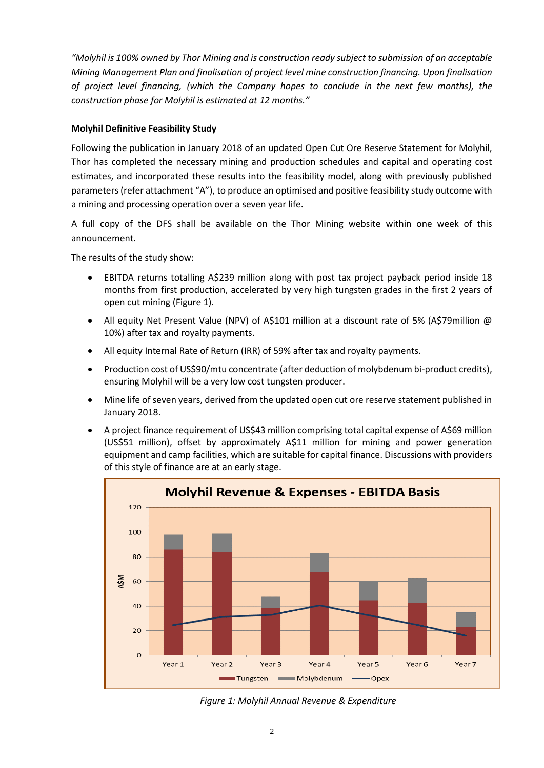*"Molyhil is 100% owned by Thor Mining and is construction ready subject to submission of an acceptable Mining Management Plan and finalisation of project level mine construction financing. Upon finalisation of project level financing, (which the Company hopes to conclude in the next few months), the construction phase for Molyhil is estimated at 12 months."*

## **Molyhil Definitive Feasibility Study**

Following the publication in January 2018 of an updated Open Cut Ore Reserve Statement for Molyhil, Thor has completed the necessary mining and production schedules and capital and operating cost estimates, and incorporated these results into the feasibility model, along with previously published parameters (refer attachment "A"), to produce an optimised and positive feasibility study outcome with a mining and processing operation over a seven year life.

A full copy of the DFS shall be available on the Thor Mining website within one week of this announcement.

The results of the study show:

- EBITDA returns totalling A\$239 million along with post tax project payback period inside 18 months from first production, accelerated by very high tungsten grades in the first 2 years of open cut mining (Figure 1).
- All equity Net Present Value (NPV) of A\$101 million at a discount rate of 5% (A\$79million @ 10%) after tax and royalty payments.
- All equity Internal Rate of Return (IRR) of 59% after tax and royalty payments.
- Production cost of US\$90/mtu concentrate (after deduction of molybdenum bi-product credits), ensuring Molyhil will be a very low cost tungsten producer.
- Mine life of seven years, derived from the updated open cut ore reserve statement published in January 2018.
- A project finance requirement of US\$43 million comprising total capital expense of A\$69 million (US\$51 million), offset by approximately A\$11 million for mining and power generation equipment and camp facilities, which are suitable for capital finance. Discussions with providers of this style of finance are at an early stage.



*Figure 1: Molyhil Annual Revenue & Expenditure*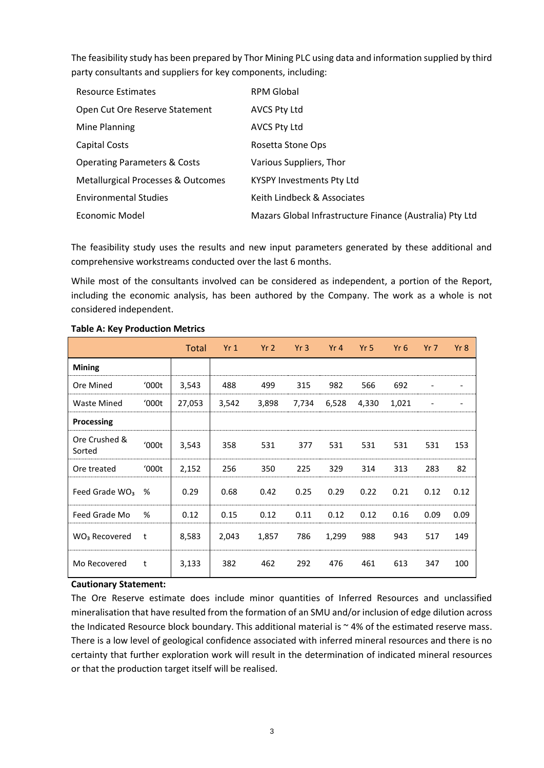The feasibility study has been prepared by Thor Mining PLC using data and information supplied by third party consultants and suppliers for key components, including:

| <b>Resource Estimates</b>               | <b>RPM Global</b>                                        |
|-----------------------------------------|----------------------------------------------------------|
| Open Cut Ore Reserve Statement          | <b>AVCS Pty Ltd</b>                                      |
| Mine Planning                           | <b>AVCS Pty Ltd</b>                                      |
| <b>Capital Costs</b>                    | Rosetta Stone Ops                                        |
| <b>Operating Parameters &amp; Costs</b> | Various Suppliers, Thor                                  |
| Metallurgical Processes & Outcomes      | <b>KYSPY Investments Pty Ltd</b>                         |
| <b>Environmental Studies</b>            | Keith Lindbeck & Associates                              |
| Economic Model                          | Mazars Global Infrastructure Finance (Australia) Pty Ltd |

The feasibility study uses the results and new input parameters generated by these additional and comprehensive workstreams conducted over the last 6 months.

While most of the consultants involved can be considered as independent, a portion of the Report, including the economic analysis, has been authored by the Company. The work as a whole is not considered independent.

|                           |       | Total  | Yr1   | Yr2   | Yr3   | Yr 4  | Yr 5  | Yr $6$ | $Yr$ 7                   | Yr8  |
|---------------------------|-------|--------|-------|-------|-------|-------|-------|--------|--------------------------|------|
| <b>Mining</b>             |       |        |       |       |       |       |       |        |                          |      |
| Ore Mined                 | '000t | 3,543  | 488   | 499   | 315   | 982   | 566   | 692    |                          |      |
| Waste Mined               | 000t  | 27,053 | 3,542 | 3,898 | 7,734 | 6,528 | 4,330 | 1,021  | $\overline{\phantom{a}}$ |      |
| Processing                |       |        |       |       |       |       |       |        |                          |      |
| Ore Crushed &<br>Sorted   | '000t | 3,543  | 358   | 531   | 377   | 531   | 531   | 531    | 531                      | 153  |
| Ore treated               | '000t | 2,152  | 256   | 350   | 225   | 329   | 314   | 313    | 283                      | 82   |
| Feed Grade $WO3$          | %     | 0.29   | 0.68  | 0.42  | 0.25  | 0.29  | 0.22  | 0.21   | 0.12                     | 0.12 |
| Feed Grade Mo             | %     | 0.12   | 0.15  | 0.12  | 0.11  | 0.12  | 0.12  | 0.16   | 0.09                     | 0.09 |
| WO <sub>3</sub> Recovered | t     | 8,583  | 2,043 | 1,857 | 786   | 1,299 | 988   | 943    | 517                      | 149  |
| Mo Recovered              | t     | 3,133  | 382   | 462   | 292   | 476   | 461   | 613    | 347                      | 100  |

## **Table A: Key Production Metrics**

## **Cautionary Statement:**

The Ore Reserve estimate does include minor quantities of Inferred Resources and unclassified mineralisation that have resulted from the formation of an SMU and/or inclusion of edge dilution across the Indicated Resource block boundary. This additional material is  $\sim$  4% of the estimated reserve mass. There is a low level of geological confidence associated with inferred mineral resources and there is no certainty that further exploration work will result in the determination of indicated mineral resources or that the production target itself will be realised.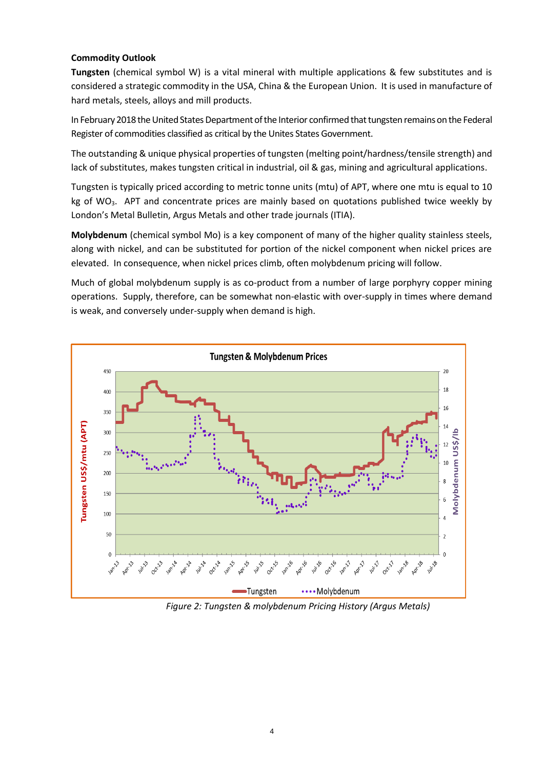## **Commodity Outlook**

**Tungsten** (chemical symbol W) is a vital mineral with multiple applications & few substitutes and is considered a strategic commodity in the USA, China & the European Union. It is used in manufacture of hard metals, steels, alloys and mill products.

In February 2018 the United States Department of the Interior confirmed that tungsten remains on the Federal Register of commodities classified as critical by the Unites States Government.

The outstanding & unique physical properties of tungsten (melting point/hardness/tensile strength) and lack of substitutes, makes tungsten critical in industrial, oil & gas, mining and agricultural applications.

Tungsten is typically priced according to metric tonne units (mtu) of APT, where one mtu is equal to 10 kg of WO<sub>3</sub>. APT and concentrate prices are mainly based on quotations published twice weekly by London's Metal Bulletin, Argus Metals and other trade journals (ITIA).

**Molybdenum** (chemical symbol Mo) is a key component of many of the higher quality stainless steels, along with nickel, and can be substituted for portion of the nickel component when nickel prices are elevated. In consequence, when nickel prices climb, often molybdenum pricing will follow.

Much of global molybdenum supply is as co-product from a number of large porphyry copper mining operations. Supply, therefore, can be somewhat non-elastic with over-supply in times where demand is weak, and conversely under-supply when demand is high.



*Figure 2: Tungsten & molybdenum Pricing History (Argus Metals)*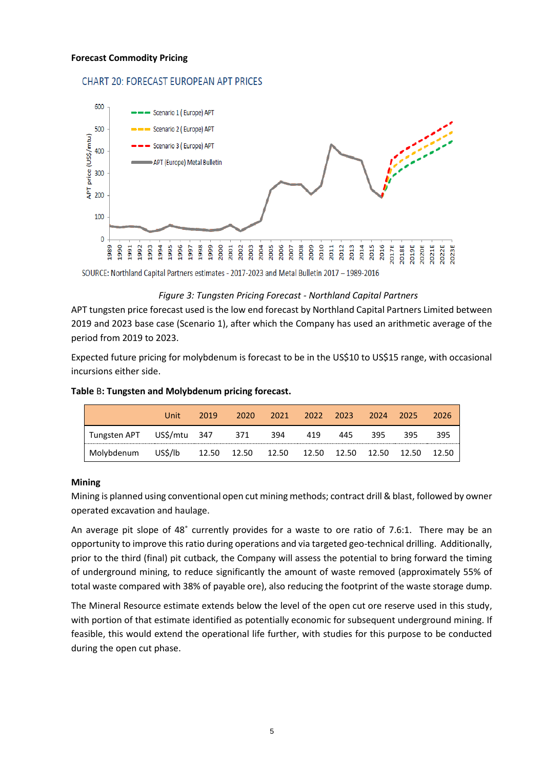#### **Forecast Commodity Pricing**

## **CHART 20: FORECAST EUROPEAN APT PRICES**



SOURCE: Northland Capital Partners estimates - 2017-2023 and Metal Bulletin 2017 - 1989-2016

#### *Figure 3: Tungsten Pricing Forecast - Northland Capital Partners*

APT tungsten price forecast used is the low end forecast by Northland Capital Partners Limited between 2019 and 2023 base case (Scenario 1), after which the Company has used an arithmetic average of the period from 2019 to 2023.

Expected future pricing for molybdenum is forecast to be in the US\$10 to US\$15 range, with occasional incursions either side.

|                           | Unit    | 2019 | 2020                | 2021 | 2022 2023   |     | 2024 | - 2025      | 2026  |
|---------------------------|---------|------|---------------------|------|-------------|-----|------|-------------|-------|
| Tungsten APT US\$/mtu 347 |         |      | 371                 | 394  | 419         | 445 | 395  | 395         | 395   |
| Molybdenum                | US\$/lb |      | 12.50  12.50  12.50 |      | 12.50 12.50 |     |      | 12.50 12.50 | 12.50 |

#### **Table** B**: Tungsten and Molybdenum pricing forecast.**

#### **Mining**

Mining is planned using conventional open cut mining methods; contract drill & blast, followed by owner operated excavation and haulage.

An average pit slope of 48˚ currently provides for a waste to ore ratio of 7.6:1. There may be an opportunity to improve this ratio during operations and via targeted geo-technical drilling. Additionally, prior to the third (final) pit cutback, the Company will assess the potential to bring forward the timing of underground mining, to reduce significantly the amount of waste removed (approximately 55% of total waste compared with 38% of payable ore), also reducing the footprint of the waste storage dump.

The Mineral Resource estimate extends below the level of the open cut ore reserve used in this study, with portion of that estimate identified as potentially economic for subsequent underground mining. If feasible, this would extend the operational life further, with studies for this purpose to be conducted during the open cut phase.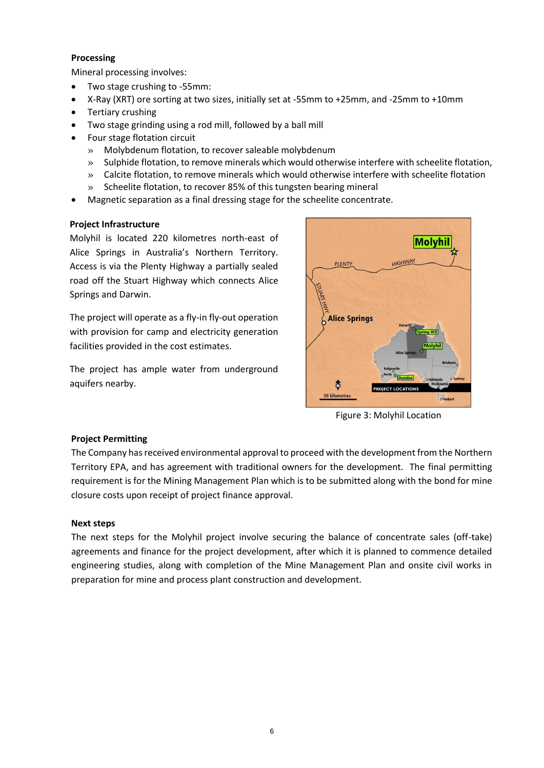## **Processing**

Mineral processing involves:

- Two stage crushing to -55mm:
- X-Ray (XRT) ore sorting at two sizes, initially set at -55mm to +25mm, and -25mm to +10mm
- Tertiary crushing
- Two stage grinding using a rod mill, followed by a ball mill
- Four stage flotation circuit
	- » Molybdenum flotation, to recover saleable molybdenum
	- » Sulphide flotation, to remove minerals which would otherwise interfere with scheelite flotation,
	- » Calcite flotation, to remove minerals which would otherwise interfere with scheelite flotation
	- » Scheelite flotation, to recover 85% of this tungsten bearing mineral
- Magnetic separation as a final dressing stage for the scheelite concentrate.

## **Project Infrastructure**

Molyhil is located 220 kilometres north-east of Alice Springs in Australia's Northern Territory. Access is via the Plenty Highway a partially sealed road off the Stuart Highway which connects Alice Springs and Darwin.

The project will operate as a fly-in fly-out operation with provision for camp and electricity generation facilities provided in the cost estimates.

The project has ample water from underground aquifers nearby.



Figure 3: Molyhil Location

## **Project Permitting**

The Company has received environmental approval to proceed with the development from the Northern Territory EPA, and has agreement with traditional owners for the development. The final permitting requirement is for the Mining Management Plan which is to be submitted along with the bond for mine closure costs upon receipt of project finance approval.

## **Next steps**

The next steps for the Molyhil project involve securing the balance of concentrate sales (off-take) agreements and finance for the project development, after which it is planned to commence detailed engineering studies, along with completion of the Mine Management Plan and onsite civil works in preparation for mine and process plant construction and development.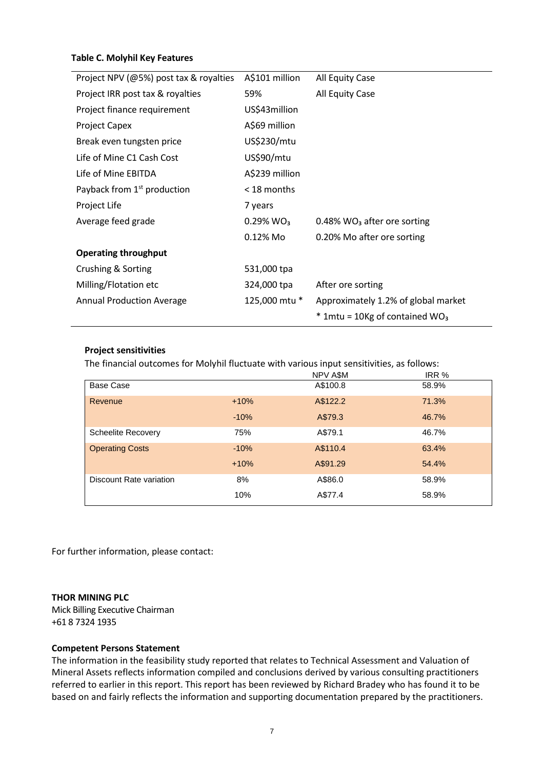## **Table C. Molyhil Key Features**

| Project NPV (@5%) post tax & royalties  | A\$101 million           | All Equity Case                              |
|-----------------------------------------|--------------------------|----------------------------------------------|
| Project IRR post tax & royalties        | 59%                      | All Equity Case                              |
| Project finance requirement             | US\$43million            |                                              |
| <b>Project Capex</b>                    | A\$69 million            |                                              |
| Break even tungsten price               | US\$230/mtu              |                                              |
| Life of Mine C1 Cash Cost               | US\$90/mtu               |                                              |
| Life of Mine EBITDA                     | A\$239 million           |                                              |
| Payback from 1 <sup>st</sup> production | $<$ 18 months            |                                              |
| Project Life                            | 7 years                  |                                              |
| Average feed grade                      | $0.29\%$ WO <sub>3</sub> | $0.48\%$ WO <sub>3</sub> after ore sorting   |
|                                         | 0.12% Mo                 | 0.20% Mo after ore sorting                   |
| <b>Operating throughput</b>             |                          |                                              |
| Crushing & Sorting                      | 531,000 tpa              |                                              |
| Milling/Flotation etc                   | 324,000 tpa              | After ore sorting                            |
| <b>Annual Production Average</b>        | 125,000 mtu *            | Approximately 1.2% of global market          |
|                                         |                          | $*$ 1mtu = 10Kg of contained WO <sub>3</sub> |

## **Project sensitivities**

The financial outcomes for Molyhil fluctuate with various input sensitivities, as follows:

|                           |        | NPV A\$M | IRR % |
|---------------------------|--------|----------|-------|
| Base Case                 |        | A\$100.8 | 58.9% |
| Revenue                   | $+10%$ | A\$122.2 | 71.3% |
|                           | $-10%$ | A\$79.3  | 46.7% |
| <b>Scheelite Recovery</b> | 75%    | A\$79.1  | 46.7% |
| <b>Operating Costs</b>    | $-10%$ | A\$110.4 | 63.4% |
|                           | $+10%$ | A\$91.29 | 54.4% |
| Discount Rate variation   | 8%     | A\$86.0  | 58.9% |
|                           | 10%    | A\$77.4  | 58.9% |

For further information, please contact:

## **THOR MINING PLC**

Mick Billing Executive Chairman +61 8 7324 1935

## **Competent Persons Statement**

The information in the feasibility study reported that relates to Technical Assessment and Valuation of Mineral Assets reflects information compiled and conclusions derived by various consulting practitioners referred to earlier in this report. This report has been reviewed by Richard Bradey who has found it to be based on and fairly reflects the information and supporting documentation prepared by the practitioners.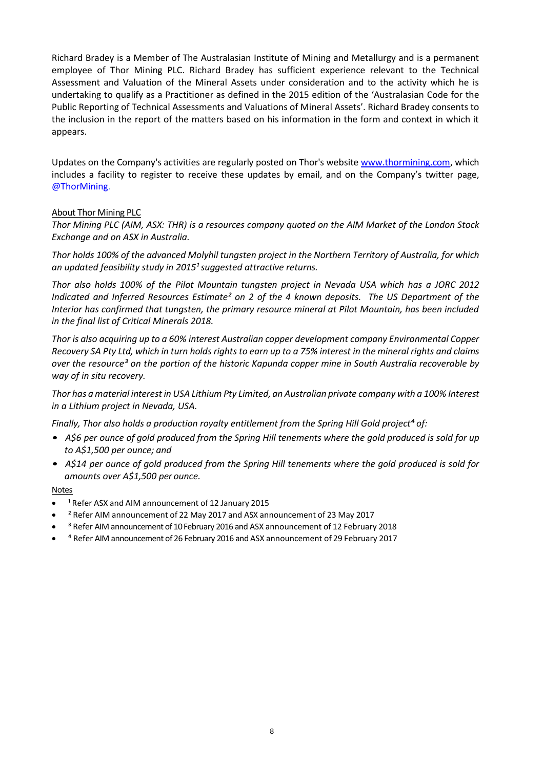Richard Bradey is a Member of The Australasian Institute of Mining and Metallurgy and is a permanent employee of Thor Mining PLC. Richard Bradey has sufficient experience relevant to the Technical Assessment and Valuation of the Mineral Assets under consideration and to the activity which he is undertaking to qualify as a Practitioner as defined in the 2015 edition of the 'Australasian Code for the Public Reporting of Technical Assessments and Valuations of Mineral Assets'. Richard Bradey consents to the inclusion in the report of the matters based on his information in the form and context in which it appears.

Updates on the Company's activities are regularly posted on Thor's website [www.thormining.com,](http://www.thormining.com/) which includes a facility to register to receive these updates by email, and on the Company's twitter page, @ThorMining.

## About Thor Mining PLC

Thor Mining PLC (AIM, ASX: THR) is a resources company quoted on the AIM Market of the London Stock *Exchange and on ASX in Australia.*

*Thor holds 100% of the advanced Molyhil tungsten project in the Northern Territory of Australia, for which an updated feasibility study in 2015¹ suggested attractive returns.*

*Thor also holds 100% of the Pilot Mountain tungsten project in Nevada USA which has a JORC 2012 Indicated and Inferred Resources Estimate² on 2 of the 4 known deposits. The US Department of the Interior has confirmed that tungsten, the primary resource mineral at Pilot Mountain, has been included in the final list of Critical Minerals 2018.*

*Thor is also acquiring up to a 60% interest Australian copper development company Environmental Copper*  Recovery SA Pty Ltd, which in turn holds rights to earn up to a 75% interest in the mineral rights and claims *over the resource³ on the portion of the historic Kapunda copper mine in South Australia recoverable by way of in situ recovery.* 

*Thor has a material interestin USA Lithium Pty Limited, an Australian private company with a 100% Interest in a Lithium project in Nevada, USA.*

*Finally, Thor also holds a production royalty entitlement from the Spring Hill Gold project<sup>4</sup> of:* 

- A\$6 per ounce of gold produced from the Spring Hill tenements where the gold produced is sold for up *to A\$1,500 per ounce; and*
- A\$14 per ounce of gold produced from the Spring Hill tenements where the gold produced is sold for *amounts over A\$1,500 per ounce.*

**Notes** 

- <sup>1</sup> Refer ASX and AIM announcement of 12 January 2015
- ² Refer AIM announcement of 22 May 2017 and ASX announcement of 23 May 2017
- <sup>3</sup> Refer AIM announcement of 10 February 2016 and ASX announcement of 12 February 2018
- <sup>4</sup> Refer AIM announcement of 26 February 2016 and ASX announcement of 29 February 2017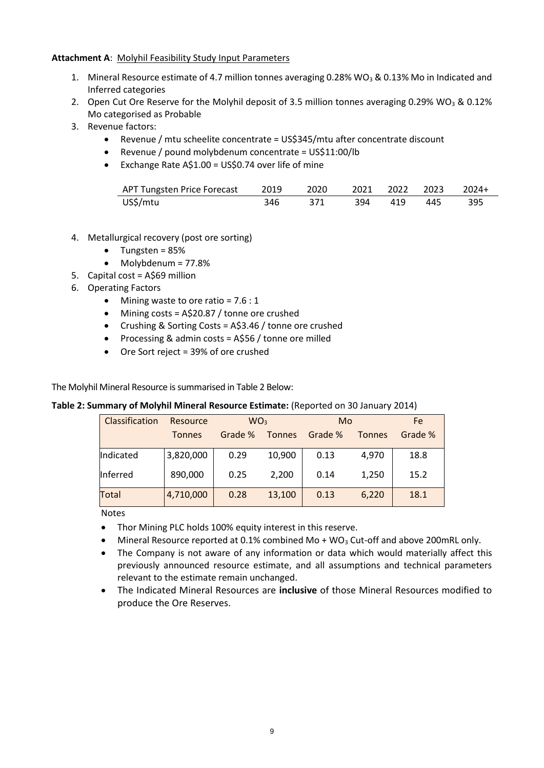## **Attachment A**: Molyhil Feasibility Study Input Parameters

- 1. Mineral Resource estimate of 4.7 million tonnes averaging 0.28% WO<sub>3</sub> & 0.13% Mo in Indicated and Inferred categories
- 2. Open Cut Ore Reserve for the Molyhil deposit of 3.5 million tonnes averaging 0.29% WO<sub>3</sub> & 0.12% Mo categorised as Probable
- 3. Revenue factors:
	- Revenue / mtu scheelite concentrate = US\$345/mtu after concentrate discount
	- Revenue / pound molybdenum concentrate = US\$11:00/lb
	- Exchange Rate A\$1.00 = US\$0.74 over life of mine

| US\$/mtu | 346 | - 371 - |  | 394 419 445 395 |  |
|----------|-----|---------|--|-----------------|--|

- 4. Metallurgical recovery (post ore sorting)
	- Tungsten = 85%
	- Molybdenum = 77.8%
- 5. Capital cost = A\$69 million
- 6. Operating Factors
	- Mining waste to ore ratio = 7.6 : 1
	- Mining costs = A\$20.87 / tonne ore crushed
	- Crushing & Sorting Costs = A\$3.46 / tonne ore crushed
	- Processing & admin costs = A\$56 / tonne ore milled
	- Ore Sort reject = 39% of ore crushed

The Molyhil Mineral Resource is summarised in Table 2 Below:

## **Table 2: Summary of Molyhil Mineral Resource Estimate:** (Reported on 30 January 2014)

| Classification | Resource      | WO <sub>3</sub> |               | Mo      | Fe            |         |
|----------------|---------------|-----------------|---------------|---------|---------------|---------|
|                | <b>Tonnes</b> | Grade %         | <b>Tonnes</b> | Grade % | <b>Tonnes</b> | Grade % |
| Indicated      | 3,820,000     | 0.29            | 10,900        | 0.13    | 4,970         | 18.8    |
| Inferred       | 890,000       | 0.25            | 2,200         | 0.14    | 1,250         | 15.2    |
| Total          | 4,710,000     | 0.28            | 13,100        | 0.13    | 6,220         | 18.1    |

Notes

- Thor Mining PLC holds 100% equity interest in this reserve.
- Mineral Resource reported at 0.1% combined Mo + WO<sub>3</sub> Cut-off and above 200mRL only.
- The Company is not aware of any information or data which would materially affect this previously announced resource estimate, and all assumptions and technical parameters relevant to the estimate remain unchanged.
- The Indicated Mineral Resources are **inclusive** of those Mineral Resources modified to produce the Ore Reserves.